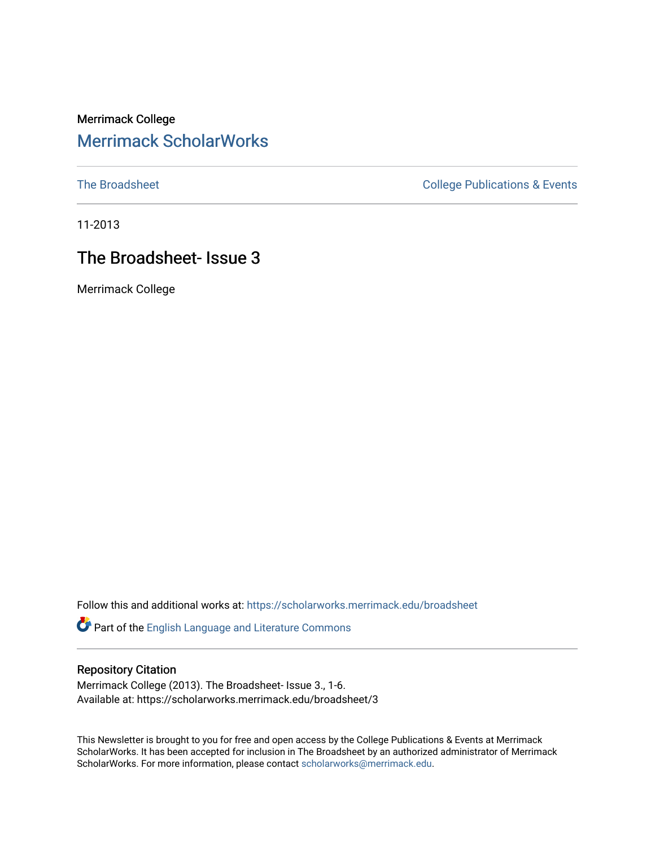### Merrimack College [Merrimack ScholarWorks](https://scholarworks.merrimack.edu/)

[The Broadsheet](https://scholarworks.merrimack.edu/broadsheet) **College Publications & Events** 

11-2013

## The Broadsheet- Issue 3

Merrimack College

Follow this and additional works at: [https://scholarworks.merrimack.edu/broadsheet](https://scholarworks.merrimack.edu/broadsheet?utm_source=scholarworks.merrimack.edu%2Fbroadsheet%2F3&utm_medium=PDF&utm_campaign=PDFCoverPages) 

Part of the [English Language and Literature Commons](http://network.bepress.com/hgg/discipline/455?utm_source=scholarworks.merrimack.edu%2Fbroadsheet%2F3&utm_medium=PDF&utm_campaign=PDFCoverPages)

#### Repository Citation

Merrimack College (2013). The Broadsheet- Issue 3., 1-6. Available at: https://scholarworks.merrimack.edu/broadsheet/3

This Newsletter is brought to you for free and open access by the College Publications & Events at Merrimack ScholarWorks. It has been accepted for inclusion in The Broadsheet by an authorized administrator of Merrimack ScholarWorks. For more information, please contact [scholarworks@merrimack.edu.](mailto:scholarworks@merrimack.edu)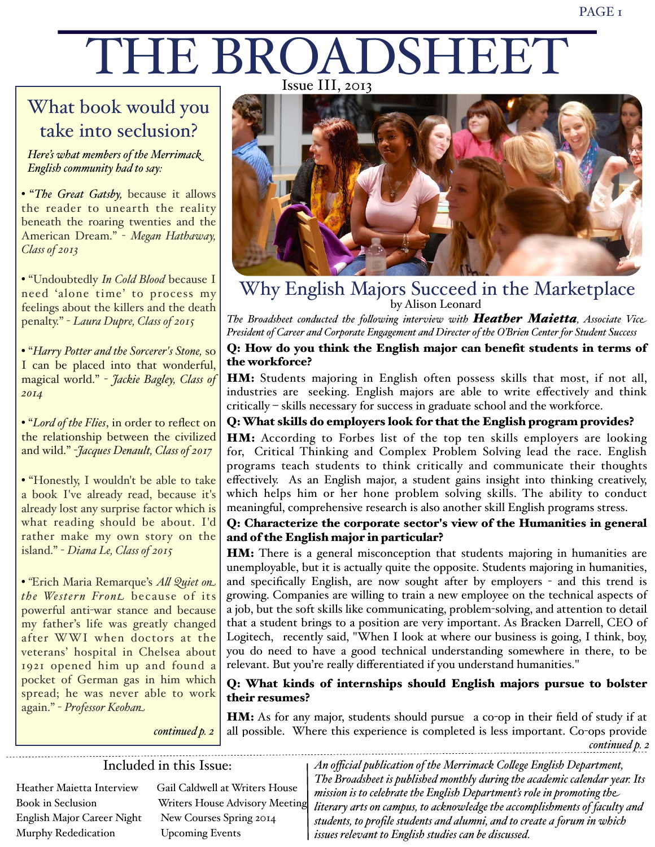# THE BROADSHEET Issue III, 2013

# What book would you take into seclusion?

*Here's what members of the Merrimack English community had to say:*

• "*The Great Gatsby,* because it allows the reader to unearth the reality beneath the roaring twenties and the American Dream." - *Megan Hathaway, Class of 2013*

• "Undoubtedly *In Cold Blood* because I need 'alone time' to process my feelings about the killers and the death penalty." - *Laura Dupre, Class of 2015*

• "*Harry Potter and the Sorcerer's Stone,* so I can be placed into that wonderful, magical world." - *Jackie Bagley, Class of 2014*

• "*Lord of the Flies*, in order to reflect on the relationship between the civilized and wild." -*Jacques Denault, Class of 2017*

• "Honestly, I wouldn't be able to take a book I've already read, because it's already lost any surprise factor which is what reading should be about. I'd rather make my own story on the island." - *Diana Le, Class of 2015*

• *"*Erich Maria Remarque's *A! Quiet on the Wester n Front* because of its powerful anti-war stance and because my father's life was greatly changed after WWI when doctors at the veterans' hospital in Chelsea about 1921 opened him up and found a pocket of German gas in him which spread; he was never able to work again." - *Professor Keohan*



Why English Majors Succeed in the Marketplace by Alison Leonard

*The Broadsheet conducted the fo!owing interview with Heather Maietta, Associate Vice President of Career and Corporate Engagement and Directer of the O'Brien Center for Student Success*

#### Q: How do you think the English major can benefit students in terms of the workforce?

HM: Students majoring in English often possess skills that most, if not all, industries are seeking. English majors are able to write effectively and think critically – skills necessary for success in graduate school and the workforce.

#### Q: What skills do employers look for that the English program provides?

HM: According to Forbes list of the top ten skills employers are looking for, Critical Thinking and Complex Problem Solving lead the race. English programs teach students to think critically and communicate their thoughts effectively. As an English major, a student gains insight into thinking creatively, which helps him or her hone problem solving skills. The ability to conduct meaningful, comprehensive research is also another skill English programs stress.

#### Q: Characterize the corporate sector's view of the Humanities in general and of the English major in particular?

**HM:** There is a general misconception that students majoring in humanities are unemployable, but it is actually quite the opposite. Students majoring in humanities, and specifically English, are now sought after by employers - and this trend is growing. Companies are willing to train a new employee on the technical aspects of a job, but the soft skills like communicating, problem-solving, and attention to detail that a student brings to a position are very important. As Bracken Darrell, CEO of Logitech, recently said, "When I look at where our business is going, I think, boy, you do need to have a good technical understanding somewhere in there, to be relevant. But you're really differentiated if you understand humanities."

#### Q: What kinds of internships should English majors pursue to bolster their resumes?

*continued p. 2*

HM: As for any major, students should pursue a co-op in their field of study if at all possible. Where this experience is completed is less important. Co-ops provide

*continued p. 2*

#### Included in this Issue:

English Major Career Night New Courses Spring 2014 Murphy Rededication Upcoming Events

Heather Maietta Interview Gail Caldwell at Writers House Book in Seclusion Writers House Advisory Meeting

*An official publication of the Merrimack Co!ege English Department, The Broadsheet is published monthly during the academic calendar year. Its mission is to celebrate the English Department's role in promoting the literary arts on campus, to acknowledge the accomplishments of faculty and students, to profile students and alumni, and to create a forum in which issues relevant to English studies can be discussed.*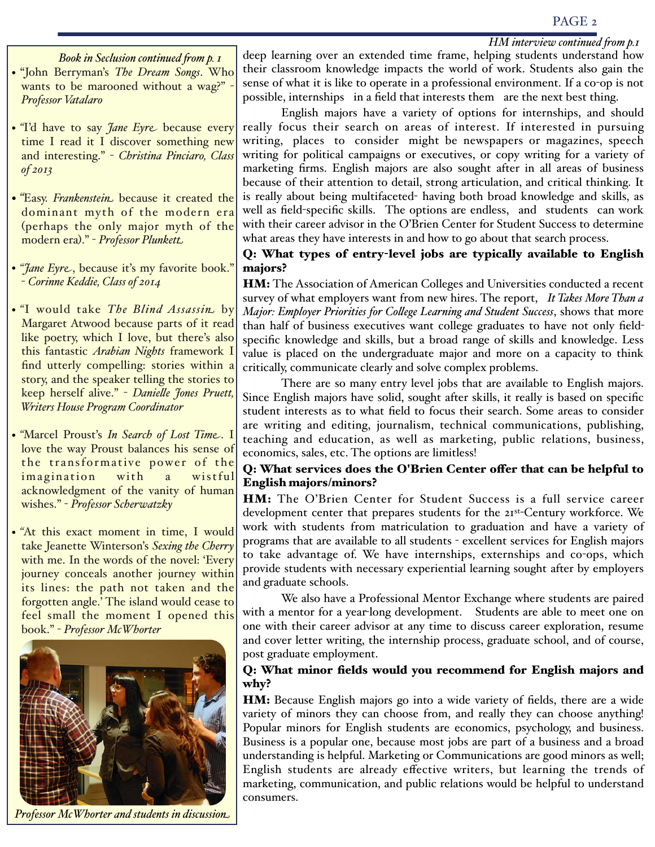#### PAGE 2

#### *HM interview continued 'om p.1*

*Book in Seclusion continued 'om p. 1* • "John Berryman's *The Dream Songs*. Who wants to be marooned without a wag?" *Professor Vatalaro*

- *"I'd have to say <i>Jane Eyre* because every time I read it I discover something new and interesting." - *Christina Pinciaro, Class of 2013*
- *"*Easy. *Frankenstein* because it created the dominant myth of the modern era (perhaps the only major myth of the modern era)." - *Professor Plunkett*
- *"Jane Eyre*, because it's my favorite book." - *Corinne Keddie, Class of 2014*
- *"*I would take *The Blind Assassin* by Margaret Atwood because parts of it read like poetry, which I love, but there's also this fantastic *Arabian Nights* framework I find utterly compelling: stories within a story, and the speaker telling the stories to keep herself alive." - *Danie!e Jones Pruett, Writers House Program Coordinator*
- *"*Marcel Proust's *In Search of Lost Time*. I love the way Proust balances his sense of the transformative power of the imagination with a wistful acknowledgment of the vanity of human wishes." - *Professor Scherwatzky*
- *"*At this exact moment in time, I would take Jeanette Winterson's *Sexing the Cherry* with me. In the words of the novel: 'Every' journey conceals another journey within its lines: the path not taken and the forgotten angle.' The island would cease to feel small the moment I opened this book." - *Professor McWhorter*



*Professor McWhorter and students in discussion*

deep learning over an extended time frame, helping students understand how their classroom knowledge impacts the world of work. Students also gain the sense of what it is like to operate in a professional environment. If a co-op is not possible, internships in a field that interests them are the next best thing.

English majors have a variety of options for internships, and should really focus their search on areas of interest. If interested in pursuing writing, places to consider might be newspapers or magazines, speech writing for political campaigns or executives, or copy writing for a variety of marketing firms. English majors are also sought after in all areas of business because of their attention to detail, strong articulation, and critical thinking. It is really about being multifaceted- having both broad knowledge and skills, as well as field-specific skills. The options are endless, and students can work with their career advisor in the O'Brien Center for Student Success to determine what areas they have interests in and how to go about that search process.

#### Q: What types of entry-level jobs are typically available to English majors?

HM: The Association of American Colleges and Universities conducted a recent survey of what employers want from new hires. The report, *It Takes More Than a Major: Employer Priorities for Co!ege Learning and Student Success*, shows that more than half of business executives want college graduates to have not only fieldspecific knowledge and skills, but a broad range of skills and knowledge. Less value is placed on the undergraduate major and more on a capacity to think critically, communicate clearly and solve complex problems.

There are so many entry level jobs that are available to English majors. Since English majors have solid, sought after skills, it really is based on specific student interests as to what field to focus their search. Some areas to consider are writing and editing, journalism, technical communications, publishing, teaching and education, as well as marketing, public relations, business, economics, sales, etc. The options are limitless!

#### Q: What services does the O'Brien Center offer that can be helpful to English majors/minors?

HM: The O'Brien Center for Student Success is a full service career development center that prepares students for the 21st-Century workforce. We work with students from matriculation to graduation and have a variety of programs that are available to all students - excellent services for English majors to take advantage of. We have internships, externships and co-ops, which provide students with necessary experiential learning sought after by employers and graduate schools.

We also have a Professional Mentor Exchange where students are paired with a mentor for a year-long development. Students are able to meet one on one with their career advisor at any time to discuss career exploration, resume and cover letter writing, the internship process, graduate school, and of course, post graduate employment.

#### Q: What minor fields would you recommend for English majors and why?

HM: Because English majors go into a wide variety of fields, there are a wide variety of minors they can choose from, and really they can choose anything! Popular minors for English students are economics, psychology, and business. Business is a popular one, because most jobs are part of a business and a broad understanding is helpful. Marketing or Communications are good minors as well; English students are already effective writers, but learning the trends of marketing, communication, and public relations would be helpful to understand consumers.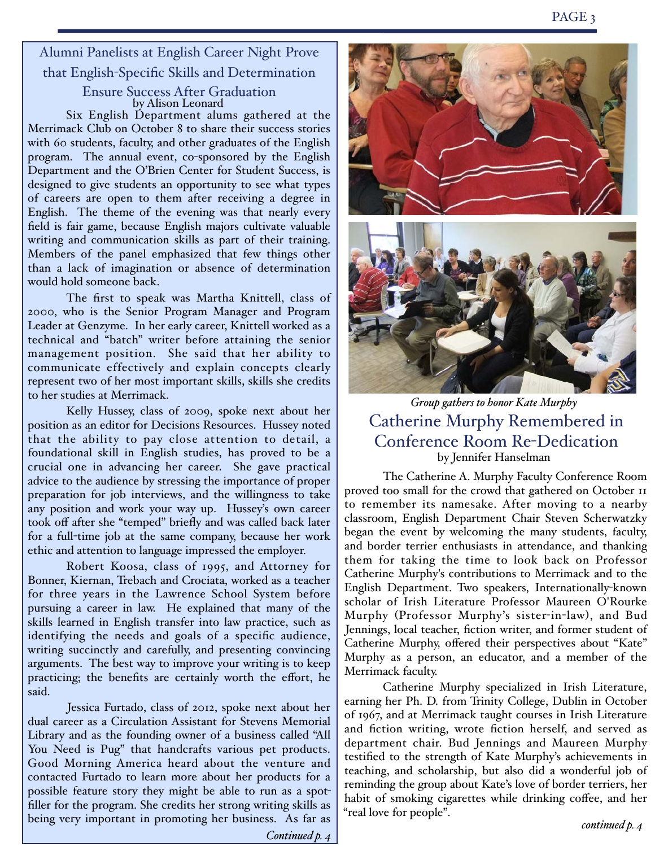Alumni Panelists at English Career Night Prove that English-Specific Skills and Determination

> Ensure Success After Graduation by Alison Leonard

Six English Department alums gathered at the Merrimack Club on October 8 to share their success stories with 60 students, faculty, and other graduates of the English program. The annual event, co-sponsored by the English Department and the O'Brien Center for Student Success, is designed to give students an opportunity to see what types of careers are open to them after receiving a degree in English. The theme of the evening was that nearly every field is fair game, because English majors cultivate valuable writing and communication skills as part of their training. Members of the panel emphasized that few things other than a lack of imagination or absence of determination would hold someone back.

The first to speak was Martha Knittell, class of 2000, who is the Senior Program Manager and Program Leader at Genzyme. In her early career, Knittell worked as a technical and "batch" writer before attaining the senior management position. She said that her ability to communicate effectively and explain concepts clearly represent two of her most important skills, skills she credits to her studies at Merrimack.

Kelly Hussey, class of 2009, spoke next about her position as an editor for Decisions Resources. Hussey noted that the ability to pay close attention to detail, a foundational skill in English studies, has proved to be a crucial one in advancing her career. She gave practical advice to the audience by stressing the importance of proper preparation for job interviews, and the willingness to take any position and work your way up. Hussey's own career took off after she "temped" briefly and was called back later for a full-time job at the same company, because her work ethic and attention to language impressed the employer.

Robert Koosa, class of 1995, and Attorney for Bonner, Kiernan, Trebach and Crociata, worked as a teacher for three years in the Lawrence School System before pursuing a career in law. He explained that many of the skills learned in English transfer into law practice, such as identifying the needs and goals of a specific audience, writing succinctly and carefully, and presenting convincing arguments. The best way to improve your writing is to keep practicing; the benefits are certainly worth the effort, he said.

Jessica Furtado, class of 2012, spoke next about her dual career as a Circulation Assistant for Stevens Memorial Library and as the founding owner of a business called "All You Need is Pug" that handcrafts various pet products. Good Morning America heard about the venture and contacted Furtado to learn more about her products for a possible feature story they might be able to run as a spotfiller for the program. She credits her strong writing skills as being very important in promoting her business. As far as





*Group gathers to honor Kate Murphy* Catherine Murphy Remembered in Conference Room Re-Dedication by Jennifer Hanselman

The Catherine A. Murphy Faculty Conference Room proved too small for the crowd that gathered on October 11 to remember its namesake. After moving to a nearby classroom, English Department Chair Steven Scherwatzky began the event by welcoming the many students, faculty, and border terrier enthusiasts in attendance, and thanking them for taking the time to look back on Professor Catherine Murphy's contributions to Merrimack and to the English Department. Two speakers, Internationally-known scholar of Irish Literature Professor Maureen O'Rourke Murphy (Professor Murphy's sister-in-law), and Bud Jennings, local teacher, fiction writer, and former student of Catherine Murphy, offered their perspectives about "Kate" Murphy as a person, an educator, and a member of the Merrimack faculty.

Catherine Murphy specialized in Irish Literature, earning her Ph. D. from Trinity College, Dublin in October of 1967, and at Merrimack taught courses in Irish Literature and fiction writing, wrote fiction herself, and served as department chair. Bud Jennings and Maureen Murphy testified to the strength of Kate Murphy's achievements in teaching, and scholarship, but also did a wonderful job of reminding the group about Kate's love of border terriers, her habit of smoking cigarettes while drinking coffee, and her "real love for people".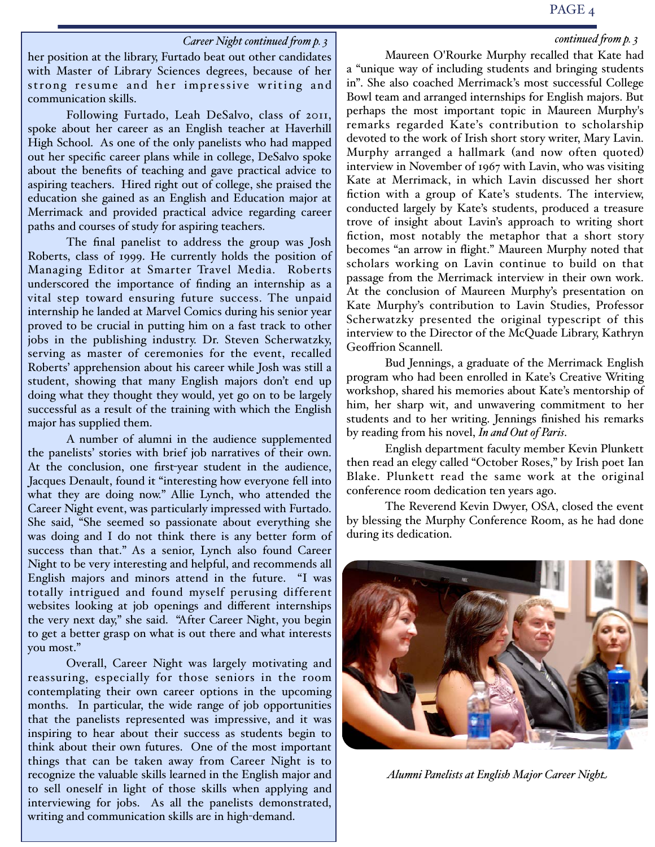#### PAGE 4

#### *continued 'om p. 3*

#### *Career Night continued 'om p. 3*

her position at the library, Furtado beat out other candidates with Master of Library Sciences degrees, because of her strong resume and her impressive writing and communication skills.

Following Furtado, Leah DeSalvo, class of 2011, spoke about her career as an English teacher at Haverhill High School. As one of the only panelists who had mapped out her specific career plans while in college, DeSalvo spoke about the benefits of teaching and gave practical advice to aspiring teachers. Hired right out of college, she praised the education she gained as an English and Education major at Merrimack and provided practical advice regarding career paths and courses of study for aspiring teachers.

The final panelist to address the group was Josh Roberts, class of 1999. He currently holds the position of Managing Editor at Smarter Travel Media. Roberts underscored the importance of finding an internship as a vital step toward ensuring future success. The unpaid internship he landed at Marvel Comics during his senior year proved to be crucial in putting him on a fast track to other jobs in the publishing industry. Dr. Steven Scherwatzky, serving as master of ceremonies for the event, recalled Roberts' apprehension about his career while Josh was still a student, showing that many English majors don't end up doing what they thought they would, yet go on to be largely successful as a result of the training with which the English major has supplied them.

A number of alumni in the audience supplemented the panelists' stories with brief job narratives of their own. At the conclusion, one first-year student in the audience, Jacques Denault, found it "interesting how everyone fell into what they are doing now." Allie Lynch, who attended the Career Night event, was particularly impressed with Furtado. She said, "She seemed so passionate about everything she was doing and I do not think there is any better form of success than that." As a senior, Lynch also found Career Night to be very interesting and helpful, and recommends all English majors and minors attend in the future. "I was totally intrigued and found myself perusing different websites looking at job openings and different internships the very next day," she said. "After Career Night, you begin to get a better grasp on what is out there and what interests you most."

Overall, Career Night was largely motivating and reassuring, especially for those seniors in the room contemplating their own career options in the upcoming months. In particular, the wide range of job opportunities that the panelists represented was impressive, and it was inspiring to hear about their success as students begin to think about their own futures. One of the most important things that can be taken away from Career Night is to recognize the valuable skills learned in the English major and to sell oneself in light of those skills when applying and interviewing for jobs. As all the panelists demonstrated, writing and communication skills are in high-demand.

Maureen O'Rourke Murphy recalled that Kate had a "unique way of including students and bringing students in". She also coached Merrimack's most successful College Bowl team and arranged internships for English majors. But perhaps the most important topic in Maureen Murphy's remarks regarded Kate's contribution to scholarship devoted to the work of Irish short story writer, Mary Lavin. Murphy arranged a hallmark (and now often quoted) interview in November of 1967 with Lavin, who was visiting Kate at Merrimack, in which Lavin discussed her short fiction with a group of Kate's students. The interview, conducted largely by Kate's students, produced a treasure trove of insight about Lavin's approach to writing short fiction, most notably the metaphor that a short story becomes "an arrow in flight." Maureen Murphy noted that scholars working on Lavin continue to build on that passage from the Merrimack interview in their own work. At the conclusion of Maureen Murphy's presentation on Kate Murphy's contribution to Lavin Studies, Professor Scherwatzky presented the original typescript of this interview to the Director of the McQuade Library, Kathryn Geoffrion Scannell.

Bud Jennings, a graduate of the Merrimack English program who had been enrolled in Kate's Creative Writing workshop, shared his memories about Kate's mentorship of him, her sharp wit, and unwavering commitment to her students and to her writing. Jennings finished his remarks by reading from his novel, *In and Out of Paris*.

English department faculty member Kevin Plunkett then read an elegy called "October Roses," by Irish poet Ian Blake. Plunkett read the same work at the original conference room dedication ten years ago.

The Reverend Kevin Dwyer, OSA, closed the event by blessing the Murphy Conference Room, as he had done during its dedication.



*Alumni Panelists at English Major Career Night*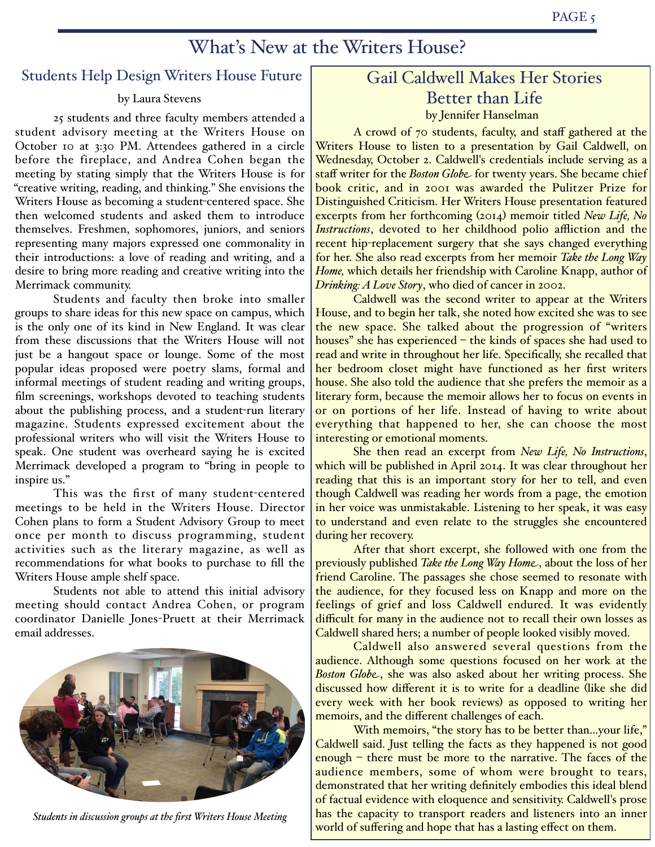## What's New at the Writers House?

#### Students Help Design Writers House Future

#### by Laura Stevens

25 students and three faculty members attended a  $\frac{1}{25}$  by Jennifer Hanselman student advisory meeting at the Writers House on October 10 at 3:30 PM. Attendees gathered in a circle before the fireplace, and Andrea Cohen began the meeting by stating simply that the Writers House is for "creative writing, reading, and thinking." She envisions the Writers House as becoming a student-centered space. She then welcomed students and asked them to introduce themselves. Freshmen, sophomores, juniors, and seniors representing many majors expressed one commonality in their introductions: a love of reading and writing, and a desire to bring more reading and creative writing into the Merrimack community.

Students and faculty then broke into smaller groups to share ideas for this new space on campus, which is the only one of its kind in New England. It was clear from these discussions that the Writers House will not just be a hangout space or lounge. Some of the most popular ideas proposed were poetry slams, formal and informal meetings of student reading and writing groups, film screenings, workshops devoted to teaching students about the publishing process, and a student-run literary magazine. Students expressed excitement about the professional writers who will visit the Writers House to speak. One student was overheard saying he is excited Merrimack developed a program to "bring in people to inspire us."

This was the first of many student-centered meetings to be held in the Writers House. Director Cohen plans to form a Student Advisory Group to meet once per month to discuss programming, student activities such as the literary magazine, as well as recommendations for what books to purchase to fill the Writers House ample shelf space.

Students not able to attend this initial advisory meeting should contact Andrea Cohen, or program coordinator Danielle Jones-Pruett at their Merrimack email addresses.



*Students in discussion groups at the first Writers House Meeting*

# Gail Caldwell Makes Her Stories Better than Life

A crowd of 70 students, faculty, and staff gathered at the Writers House to listen to a presentation by Gail Caldwell, on Wednesday, October 2. Caldwell's credentials include serving as a staff writer for the *Boston Globe* for twenty years. She became chief book critic, and in 2001 was awarded the Pulitzer Prize for Distinguished Criticism. Her Writers House presentation featured excerpts from her forthcoming (2014) memoir titled *New Life, No Instructions*, devoted to her childhood polio affliction and the recent hip-replacement surgery that she says changed everything for her. She also read excerpts from her memoir *Take the Long Way Home,* which details her friendship with Caroline Knapp, author of *Drinking: A Love Story*, who died of cancer in 2002.

Caldwell was the second writer to appear at the Writers House, and to begin her talk, she noted how excited she was to see the new space. She talked about the progression of "writers houses" she has experienced – the kinds of spaces she had used to read and write in throughout her life. Specifically, she recalled that her bedroom closet might have functioned as her first writers house. She also told the audience that she prefers the memoir as a literary form, because the memoir allows her to focus on events in or on portions of her life. Instead of having to write about everything that happened to her, she can choose the most interesting or emotional moments.

She then read an excerpt from *New Life, No Instructions*, which will be published in April 2014. It was clear throughout her reading that this is an important story for her to tell, and even though Caldwell was reading her words from a page, the emotion in her voice was unmistakable. Listening to her speak, it was easy to understand and even relate to the struggles she encountered during her recovery.

After that short excerpt, she followed with one from the previously published *Take the Long Way Home*, about the loss of her friend Caroline. The passages she chose seemed to resonate with the audience, for they focused less on Knapp and more on the feelings of grief and loss Caldwell endured. It was evidently difficult for many in the audience not to recall their own losses as Caldwell shared hers; a number of people looked visibly moved.

Caldwell also answered several questions from the audience. Although some questions focused on her work at the *Boston Globe*, she was also asked about her writing process. She discussed how different it is to write for a deadline (like she did every week with her book reviews) as opposed to writing her memoirs, and the different challenges of each.

With memoirs, "the story has to be better than...your life," Caldwell said. Just telling the facts as they happened is not good enough – there must be more to the narrative. The faces of the audience members, some of whom were brought to tears, demonstrated that her writing definitely embodies this ideal blend of factual evidence with eloquence and sensitivity. Caldwell's prose has the capacity to transport readers and listeners into an inner world of suffering and hope that has a lasting effect on them.